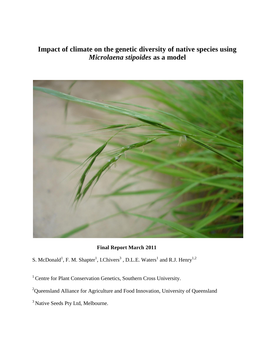# **Impact of climate on the genetic diversity of native species using**  *Microlaena stipoides* **as a model**



**Final Report March 2011**

- S. McDonald<sup>1</sup>, F. M. Shapter<sup>1</sup>, I.Chivers<sup>3</sup>, D.L.E. Waters<sup>1</sup> and R.J. Henry<sup>1,2</sup>
- <sup>1</sup> Centre for Plant Conservation Genetics, Southern Cross University.
- <sup>2</sup>Queensland Alliance for Agriculture and Food Innovation, University of Queensland
- <sup>3</sup> Native Seeds Pty Ltd, Melbourne.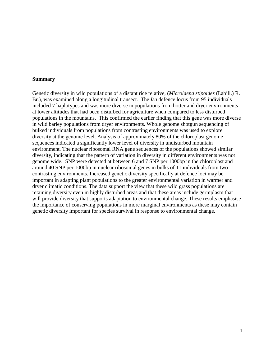#### **Summary**

Genetic diversity in wild populations of a distant rice relative, (*Microlaena stipoides* (Labill.) R. Br.), was examined along a longitudinal transect. The *Isa* defence locus from 95 individuals included 7 haplotypes and was more diverse in populations from hotter and dryer environments at lower altitudes that had been disturbed for agriculture when compared to less disturbed populations in the mountains. This confirmed the earlier finding that this gene was more diverse in wild barley populations from dryer environments. Whole genome shotgun sequencing of bulked individuals from populations from contrasting environments was used to explore diversity at the genome level. Analysis of approximately 80% of the chloroplast genome sequences indicated a significantly lower level of diversity in undisturbed mountain environment. The nuclear ribosomal RNA gene sequences of the populations showed similar diversity, indicating that the pattern of variation in diversity in different environments was not genome wide. SNP were detected at between 6 and 7 SNP per 1000bp in the chloroplast and around 40 SNP per 1000bp in nuclear ribosomal genes in bulks of 11 individuals from two contrasting environments. Increased genetic diversity specifically at defence loci may be important in adapting plant populations to the greater environmental variation in warmer and dryer climatic conditions. The data support the view that these wild grass populations are retaining diversity even in highly disturbed areas and that these areas include germplasm that will provide diversity that supports adaptation to environmental change. These results emphasise the importance of conserving populations in more marginal environments as these may contain genetic diversity important for species survival in response to environmental change.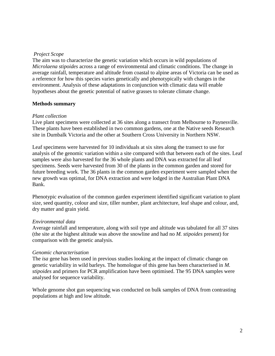### *Project Scope*

The aim was to characterize the genetic variation which occurs in wild populations of *Microlaena stipoides* across a range of environmental and climatic conditions. The change in average rainfall, temperature and altitude from coastal to alpine areas of Victoria can be used as a reference for how this species varies genetically and phenotypically with changes in the environment. Analysis of these adaptations in conjunction with climatic data will enable hypotheses about the genetic potential of native grasses to tolerate climate change.

### **Methods summary**

### *Plant collection*

Live plant specimens were collected at 36 sites along a transect from Melbourne to Paynesville. These plants have been established in two common gardens, one at the Native seeds Research site in Dumbalk Victoria and the other at Southern Cross University in Northern NSW.

Leaf specimens were harvested for 10 individuals at six sites along the transect to use for analysis of the genomic variation within a site compared with that between each of the sites. Leaf samples were also harvested for the 36 whole plants and DNA was extracted for all leaf specimens. Seeds were harvested from 30 of the plants in the common garden and stored for future breeding work. The 36 plants in the common garden experiment were sampled when the new growth was optimal, for DNA extraction and were lodged in the Australian Plant DNA Bank.

Phenotypic evaluation of the common garden experiment identified significant variation to plant size, seed quantity, colour and size, tiller number, plant architecture, leaf shape and colour, and, dry matter and grain yield.

### *Environmental data*

Average rainfall and temperature, along with soil type and altitude was tabulated for all 37 sites (the site at the highest altitude was above the snowline and had no *M. stipoides* present) for comparison with the genetic analysis.

### *Genomic characterisation*

The *isa* gene has been used in previous studies looking at the impact of climatic change on genetic variability in wild barleys. The homologue of this gene has been characterised in *M. stipoides* and primers for PCR amplification have been optimised. The 95 DNA samples were analysed for sequence variability.

Whole genome shot gun sequencing was conducted on bulk samples of DNA from contrasting populations at high and low altitude.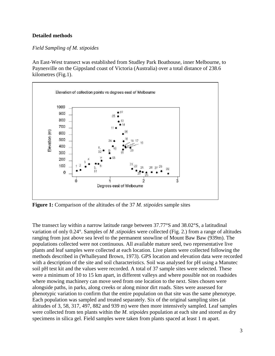### **Detailed methods**

### *Field Sampling of M. stipoides*

An East-West transect was established from Studley Park Boathouse, inner Melbourne, to Paynesville on the Gippsland coast of Victoria (Australia) over a total distance of 238.6 kilometres (Fig.1).



**Figure 1:** Comparison of the altitudes of the 37 *M. stipoides* sample sites

The transect lay within a narrow latitude range between 37.77°S and 38.02°S, a latitudinal variation of only 0.24°. Samples of *M .stipoides* were collected (Fig. 2.) from a range of altitudes ranging from just above sea level to the permanent snowline of Mount Baw Baw (939m). The populations collected were not continuous. All available mature seed, two representative live plants and leaf samples were collected at each location. Live plants were collected following the methods described in (Whalleyand Brown, 1973). GPS location and elevation data were recorded with a description of the site and soil characteristics. Soil was analysed for pH using a Manutec soil pH test kit and the values were recorded. A total of 37 sample sites were selected. These were a minimum of 10 to 15 km apart, in different valleys and where possible not on roadsides where mowing machinery can move seed from one location to the next. Sites chosen were alongside paths, in parks, along creeks or along minor dirt roads. Sites were assessed for phenotypic variation to confirm that the entire population on that site was the same phenotype. Each population was sampled and treated separately. Six of the original sampling sites (at altitudes of 3, 58, 317, 497, 882 and 939 m) were then more intensively sampled. Leaf samples were collected from ten plants within the *M. stipoides* population at each site and stored as dry specimens in silica gel. Field samples were taken from plants spaced at least 1 m apart.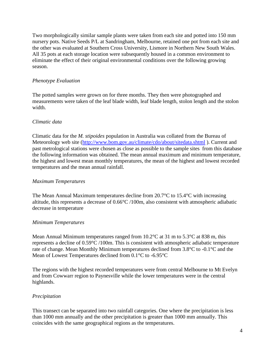Two morphologically similar sample plants were taken from each site and potted into 150 mm nursery pots. Native Seeds P/L at Sandringham, Melbourne, retained one pot from each site and the other was evaluated at Southern Cross University, Lismore in Northern New South Wales. All 35 pots at each storage location were subsequently housed in a common environment to eliminate the effect of their original environmental conditions over the following growing season.

# *Phenotype Evaluation*

The potted samples were grown on for three months. They then were photographed and measurements were taken of the leaf blade width, leaf blade length, stolon length and the stolon width.

# *Climatic data*

Climatic data for the *M. stipoides* population in Australia was collated from the Bureau of Meteorology web site [\(http://www.bom.gov.au/climate/cdo/about/sitedata.shtml](http://www.bom.gov.au/climate/cdo/about/sitedata.shtml) ). Current and past metrological stations were chosen as close as possible to the sample sites from this database the following information was obtained. The mean annual maximum and minimum temperature, the highest and lowest mean monthly temperatures, the mean of the highest and lowest recorded temperatures and the mean annual rainfall.

# *Maximum Temperatures*

The Mean Annual Maximum temperatures decline from  $20.7^{\circ}$ C to  $15.4^{\circ}$ C with increasing altitude, this represents a decrease of 0.66°C /100m, also consistent with atmospheric adiabatic decrease in temperature

# *Minimum Temperatures*

Mean Annual Minimum temperatures ranged from 10.2°C at 31 m to 5.3°C at 838 m, this represents a decline of 0.59°C /100m. This is consistent with atmospheric adiabatic temperature rate of change. Mean Monthly Minimum temperatures declined from 3.8°C to -0.1°C and the Mean of Lowest Temperatures declined from 0.1°C to -6.95°C

The regions with the highest recorded temperatures were from central Melbourne to Mt Evelyn and from Cowwarr region to Paynesville while the lower temperatures were in the central highlands.

# *Precipitation*

This transect can be separated into two rainfall categories. One where the precipitation is less than 1000 mm annually and the other precipitation is greater than 1000 mm annually. This coincides with the same geographical regions as the temperatures.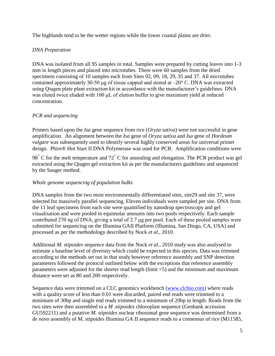The highlands tend to be the wetter regions while the lower coastal plains are drier.

# *DNA Preparation*

DNA was isolated from all 95 samples in total. Samples were prepared by cutting leaves into 1-3 mm in length pieces and placed into microtubes. There were 60 samples from the dried specimens consisting of 10 samples each from Sites 02, 09, 18, 29, 35 and 37. All microtubes contained approximately 30-50 μg of tissue capped and stored at –20° C. DNA was extracted using Qiagen plate plant extraction kit in accordance with the manufacturer's guidelines. DNA was eluted twice eluded with 100 μL of elution buffer to give maximum yield at reduced concentration.

# *PCR and sequencing*

Primers based upon the *Isa* gene sequence from rice (*Oryza sativa*) were not successful in gene amplification. An alignment between the *Isa* gene of *Oryza sativa* and *Isa* gene of *Hordeum vulgare* was subsequently used to identify several highly conserved areas for universal primer design. Phire® Hot Start II DNA Polymerase was used for PCR. Amplification conditions were

<sup>98</sup><sup>∘</sup> C for the melt temperature and 72<sup>∘</sup> C for annealing and elongation. The PCR product was gel extracted using the Qiagen gel extraction kit as per the manufacturers guidelines and sequenced by the Sanger method.

# *Whole genome sequencing of population bulks*

DNA samples from the two most environmentally differentiated sites, site29 and site 37, were selected for massively parallel sequencing. Eleven individuals were sampled per site. DNA from the 11 leaf specimens from each site were quantified by nanodrop spectroscopy and gel visualisation and were pooled in equimolar amounts into two pools respectively. Each sample contributed 270 ng of DNA, giving a total of 2.7 μg per pool. Each of these pooled samples were submitted for sequencing on the Illumina GAII Platform (Illumina, San Diego, CA, USA) and processed as per the methodology described by Nock *et al*., 2010.

Additional *M. stipoides* sequence data from the Nock *et al*., 2010 study was also analysed to estimate a baseline level of diversity which could be expected in this species. Data was trimmed according to the methods set out in that study however reference assembly and SNP detection parameters followed the protocol outlined below with the exceptions that reference assembly parameters were adjusted for the shorter read length (limit =5) and the minimum and maximum distance were set as 80 and 200 respectively.

Sequence data were trimmed on a CLC genomics workbench [\(www.clcbio.com\)](http://www.clcbio.com/) where reads with a quality score of less than 0.01 were discarded, paired end reads were trimmed to a minimum of 30bp and single end reads trimmed to a minimum of 20bp in length. Reads from the two sites were then assembled to a *M .stipoides* chloroplast sequence (Genbank accession GU592211) and a putative *M. stipoides* nuclear ribosomal gene sequence was determined from a *de novo* assembly of M. stipoides Illumina GA II sequence reads to a consensus of rice (M11585,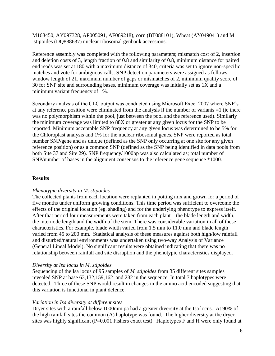M168450, AY097328, AP005091, AF069218), corn (BT088101), Wheat (AY049041) and M .stipoides (DQ888637) nuclear ribosomal genbank accessions.

Reference assembly was completed with the following parameters; mismatch cost of 2, insertion and deletion costs of 3, length fraction of 0.8 and similarity of 0.8, minimum distance for paired end reads was set at 180 with a maximum distance of 340, criteria was set to ignore non-specific matches and vote for ambiguous calls. SNP detection parameters were assigned as follows; window length of 21, maximum number of gaps or mismatches of 2, minimum quality score of 30 for SNP site and surrounding bases, minimum coverage was initially set as 1X and a minimum variant frequency of 1%.

Secondary analysis of the CLC output was conducted using Microsoft Excel 2007 where SNP's at any reference position were eliminated from the analysis if the number of variants =1 (ie there was no polymorphism within the pool, just between the pool and the reference used). Similarly the minimum coverage was limited to 88X or greater at any given locus for the SNP to be reported. Minimum acceptable SNP frequency at any given locus was determined to be 5% for the Chloroplast analysis and 1% for the nuclear ribosomal genes. SNP were reported as total number SNP/gene and as unique (defined as the SNP only occurring at one site for any given reference position) or as a common SNP (defined as the SNP being identified in data pools from both Site 37 and Site 29). SNP frequency/1000bp was also calculated as; total number of SNP/number of bases in the alignment consensus to the reference gene sequence \*1000.

# **Results**

### *Phenotypic diversity in M. stipoides*

The collected plants from each location were replanted in potting mix and grown for a period of five months under uniform growing conditions. This time period was sufficient to overcome the effects of the original location (eg. shading) and for the underlying phenotype to express itself. After that period four measurements were taken from each plant – the blade length and width, the internode length and the width of the stem. There was considerable variation in all of these characteristics. For example, blade width varied from 1.5 mm to 11.0 mm and blade length varied from 45 to 200 mm. Statistical analysis of these measures against both high/low rainfall and disturbed/natural environments was undertaken using two-way Analysis of Variance (General Lineal Model). No significant results were obtained indicating that there was no relationship between rainfall and site disruption and the phenotypic characteristics displayed.

### *Diversity at Isa locus in M. stipoides*

Sequencing of the Isa locus of 95 samples of *M. stipoides* from 35 different sites samples revealed SNP at base 63,132,159,162 and 232 in the sequence. In total 7 haplotypes were detected. Three of these SNP would result in changes in the amino acid encoded suggesting that this variation is functional in plant defence.

### *Variation in Isa diversity at different sites*

Dryer sites with a rainfall below 1000mm pa had a greater diversity at the Isa locus. At 90% of the high rainfall sites the common (A) haplotype was found. The higher diversity at the dryer sites was highly significant (P=0.001 Fishers exact test). Haplotypes F and H were only found at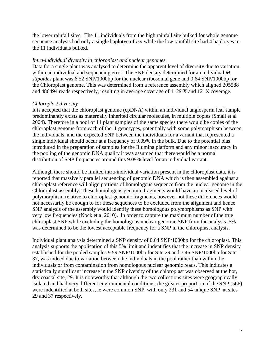the lower rainfall sites. The 11 individuals from the high rainfall site bulked for whole genome sequence analysis had only a single haplotye of *Isa* while the low rainfall site had 4 haplotyes in the 11 individuals bulked.

#### *Intra-individual diversity in chloroplast and nuclear genomes*

Data for a single plant was analysed to determine the apparent level of diversity due to variation within an individual and sequencing error. The SNP density determined for an individual *M. stipoides* plant was 6.52 SNP/1000bp for the nuclear ribosomal gene and 0.64 SNP/1000bp for the Chloroplast genome. This was determined from a reference assembly which aligned 205588 and 486494 reads respectively, resulting in average coverage of 1129 X and 121X coverage.

#### *Chloroplast diversity*

It is accepted that the chloroplast genome (cpDNA) within an individual angiosperm leaf sample predominantly exists as maternally inherited circular molecules, in multiple copies (Small et al 2004). Therefore in a pool of 11 plant samples of the same species there would be copies of the chloroplast genome from each of the11 genotypes, potentially with some polymorphism between the individuals, and the expected SNP between the individuals for a variant that represented a single individual should occur at a frequency of 9.09% in the bulk. Due to the potential bias introduced in the preparation of samples for the Illumina platform and any minor inaccuracy in the pooling of the genomic DNA quality it was assumed that there would be a normal distribution of SNP frequencies around this 9.09% level for an individual variant.

Although there should be limited intra-individual variation present in the chloroplast data, it is reported that massively parallel sequencing of genomic DNA which is then assembled against a chloroplast reference will align portions of homologous sequence from the nuclear genome in the Chloroplast assembly. These homologous genomic fragments would have an increased level of polymorphism relative to chloroplast genomic fragments, however not these differences would not necessarily be enough to for these sequences to be excluded from the alignment and hence SNP analysis of the assembly would identify these homologous polymorphisms as SNP with very low frequencies (Nock et al 2010). In order to capture the maximum number of the true chloroplast SNP while excluding the homologous nuclear genomic SNP from the analysis, 5% was determined to be the lowest acceptable frequency for a SNP in the chloroplast analysis.

Individual plant analysis determined a SNP density of 0.64 SNP/1000bp for the chloroplast. This analysis supports the application of this 5% limit and indentifies that the increase in SNP density established for the pooled samples 9.59 SNP/1000bp for Site 29 and 7.46 SNP/1000bp for Site 37, was indeed due to variation between the individuals in the pool rather than within the individuals or from contamination from homologous nuclear genomic reads. This indicates a statistically significant increase in the SNP diversity of the chloroplast was observed at the hot, dry coastal site, 29. It is noteworthy that although the two collections sites were geographically isolated and had very different environmental conditions, the greater proportion of the SNP (566) were indentified at both sites, ie were common SNP, with only 231 and 54 unique SNP at sites 29 and 37 respectively.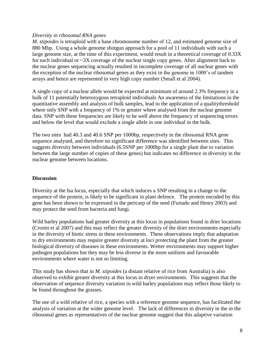### *Diversity in ribosomal RNA genes*

*M. stipoides* is tetraploid with a base chromosome number of 12, and estimated genome size of 880 Mbp. Using a whole genome shotgun approach for a pool of 11 individuals with such a large genome size, at the time of this experiment, would result in a theoretical coverage of 0.33X for each individual or  $\sim$ 3X coverage of the nuclear single copy genes. After alignment back to the nuclear genes sequencing actually resulted in incomplete coverage of all nuclear genes with the exception of the nuclear ribosomal genes as they exist in the genome in 1000's of tandem arrays and hence are represented in very high copy number (Small et al 2004).

A single copy of a nuclear allele would be expected at minimum of around 2.3% frequency in a bulk of 11 potentially heterozygous tetraploid individuals An awareness of the limitations in the quantitative assembly and analysis of bulk samples, lead to the application of a qualitythreshold where only SNP with a frequency of 1% or greater where analysed from the nuclear genome data. SNP with these frequencies are likely to be well above the frequency of sequencing errors and below the level that would exclude a single allele in one individual in the bulk.

The two sites had 40.3 and 40.6 SNP per 1000bp, respectively in the ribosomal RNA gene sequence analysed, and therefore no significant difference was identified between sites. This suggests diversity between individuals (6.5SNP per 1000bp for a single plant due to variation between the large number of copies of these genes) but indicates no difference in diversity in the nuclear genome between locations.

### **Discussion**

Diversity at the Isa locus, especially that which induces a SNP resulting in a change to the sequence of the protein, is likely to be significant in plant defence. The protein encoded by this gene has been shown to be expressed in the pericarp of the seed (Furtado and Henry 2003) and may protect the seed from bacteria and fungi.

Wild barley populations had greater diversity at this locus in populations found in drier locations (Cronin et al 2007) and this may reflect the greater diversity of the drier environments especially in the diversity of biotic stress in these environments. These observations imply that adaptation to dry environments may require greater diversity at loci protecting the plant from the greater biological diversity of diseases in these environments. Wetter environments may support higher pathogen populations but they may be less diverse in the more uniform and favourable environments where water is not so limiting.

This study has shown that in *M. stipoides* (a distant relative of rice from Australia) is also observed to exhibit greater diversity at this locus in dryer environments. This suggests that the observation of sequence diversity variation in wild barley populations may reflect those likely to be found throughout the grasses.

The use of a wild relative of rice, a species with a reference genome sequence, has facilitated the analysis of variation at the wider genome level. The lack of differences in diversity in the in the ribosomal genes as representatives of the nuclear genome suggest that this adaptive variation